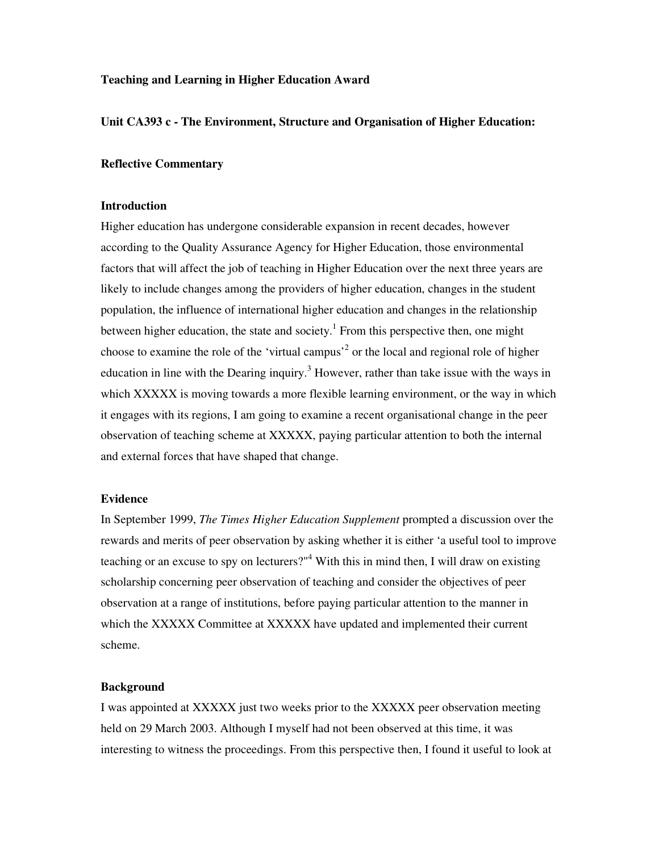## **Teaching and Learning in Higher Education Award**

#### **Unit CA393 c - The Environment, Structure and Organisation of Higher Education:**

#### **Reflective Commentary**

#### **Introduction**

Higher education has undergone considerable expansion in recent decades, however according to the Quality Assurance Agency for Higher Education, those environmental factors that will affect the job of teaching in Higher Education over the next three years are likely to include changes among the providers of higher education, changes in the student population, the influence of international higher education and changes in the relationship between higher education, the state and society.<sup>1</sup> From this perspective then, one might choose to examine the role of the 'virtual campus<sup>2</sup> or the local and regional role of higher education in line with the Dearing inquiry.<sup>3</sup> However, rather than take issue with the ways in which XXXXX is moving towards a more flexible learning environment, or the way in which it engages with its regions, I am going to examine a recent organisational change in the peer observation of teaching scheme at XXXXX, paying particular attention to both the internal and external forces that have shaped that change.

## **Evidence**

In September 1999, *The Times Higher Education Supplement* prompted a discussion over the rewards and merits of peer observation by asking whether it is either 'a useful tool to improve teaching or an excuse to spy on lecturers?"<sup>4</sup> With this in mind then, I will draw on existing scholarship concerning peer observation of teaching and consider the objectives of peer observation at a range of institutions, before paying particular attention to the manner in which the XXXXX Committee at XXXXX have updated and implemented their current scheme.

#### **Background**

I was appointed at XXXXX just two weeks prior to the XXXXX peer observation meeting held on 29 March 2003. Although I myself had not been observed at this time, it was interesting to witness the proceedings. From this perspective then, I found it useful to look at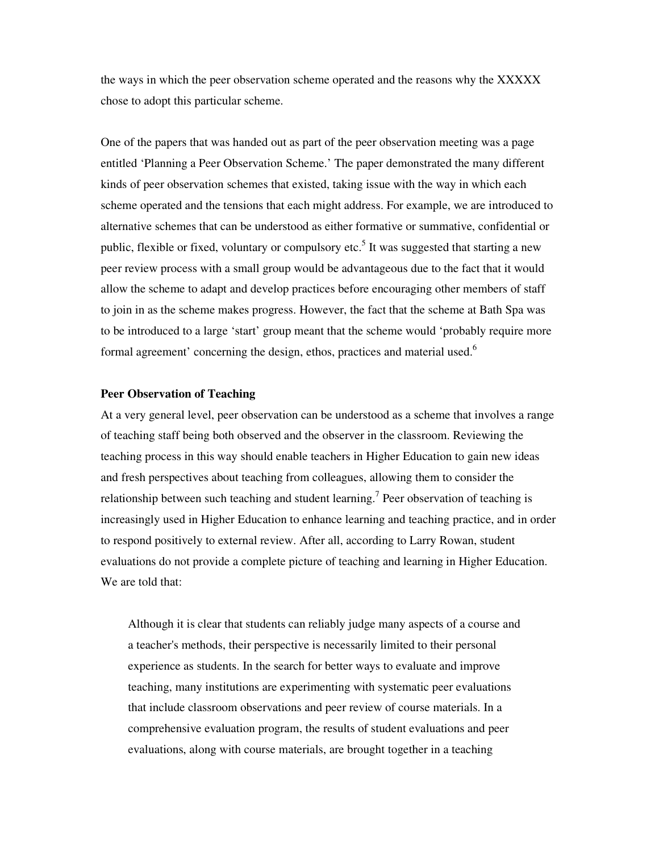the ways in which the peer observation scheme operated and the reasons why the XXXXX chose to adopt this particular scheme.

One of the papers that was handed out as part of the peer observation meeting was a page entitled 'Planning a Peer Observation Scheme.' The paper demonstrated the many different kinds of peer observation schemes that existed, taking issue with the way in which each scheme operated and the tensions that each might address. For example, we are introduced to alternative schemes that can be understood as either formative or summative, confidential or public, flexible or fixed, voluntary or compulsory etc.<sup>5</sup> It was suggested that starting a new peer review process with a small group would be advantageous due to the fact that it would allow the scheme to adapt and develop practices before encouraging other members of staff to join in as the scheme makes progress. However, the fact that the scheme at Bath Spa was to be introduced to a large 'start' group meant that the scheme would 'probably require more formal agreement' concerning the design, ethos, practices and material used.<sup>6</sup>

#### **Peer Observation of Teaching**

At a very general level, peer observation can be understood as a scheme that involves a range of teaching staff being both observed and the observer in the classroom. Reviewing the teaching process in this way should enable teachers in Higher Education to gain new ideas and fresh perspectives about teaching from colleagues, allowing them to consider the relationship between such teaching and student learning.<sup>7</sup> Peer observation of teaching is increasingly used in Higher Education to enhance learning and teaching practice, and in order to respond positively to external review. After all, according to Larry Rowan, student evaluations do not provide a complete picture of teaching and learning in Higher Education. We are told that:

Although it is clear that students can reliably judge many aspects of a course and a teacher's methods, their perspective is necessarily limited to their personal experience as students. In the search for better ways to evaluate and improve teaching, many institutions are experimenting with systematic peer evaluations that include classroom observations and peer review of course materials. In a comprehensive evaluation program, the results of student evaluations and peer evaluations, along with course materials, are brought together in a teaching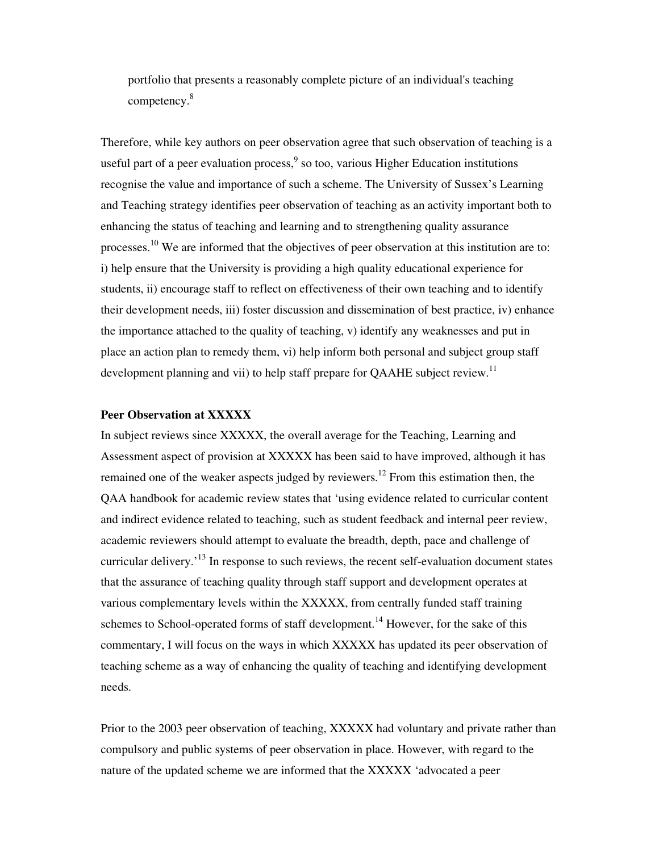portfolio that presents a reasonably complete picture of an individual's teaching competency. 8

Therefore, while key authors on peer observation agree that such observation of teaching is a useful part of a peer evaluation process,  $9$  so too, various Higher Education institutions recognise the value and importance of such a scheme. The University of Sussex's Learning and Teaching strategy identifies peer observation of teaching as an activity important both to enhancing the status of teaching and learning and to strengthening quality assurance processes.<sup>10</sup> We are informed that the objectives of peer observation at this institution are to: i) help ensure that the University is providing a high quality educational experience for students, ii) encourage staff to reflect on effectiveness of their own teaching and to identify their development needs, iii) foster discussion and dissemination of best practice, iv) enhance the importance attached to the quality of teaching, v) identify any weaknesses and put in place an action plan to remedy them, vi) help inform both personal and subject group staff development planning and vii) to help staff prepare for QAAHE subject review.<sup>11</sup>

# **Peer Observation at XXXXX**

In subject reviews since XXXXX, the overall average for the Teaching, Learning and Assessment aspect of provision at XXXXX has been said to have improved, although it has remained one of the weaker aspects judged by reviewers.<sup>12</sup> From this estimation then, the QAA handbook for academic review states that 'using evidence related to curricular content and indirect evidence related to teaching, such as student feedback and internal peer review, academic reviewers should attempt to evaluate the breadth, depth, pace and challenge of curricular delivery.<sup>13</sup> In response to such reviews, the recent self-evaluation document states that the assurance of teaching quality through staff support and development operates at various complementary levels within the XXXXX, from centrally funded staff training schemes to School-operated forms of staff development.<sup>14</sup> However, for the sake of this commentary, I will focus on the ways in which XXXXX has updated its peer observation of teaching scheme as a way of enhancing the quality of teaching and identifying development needs.

Prior to the 2003 peer observation of teaching, XXXXX had voluntary and private rather than compulsory and public systems of peer observation in place. However, with regard to the nature of the updated scheme we are informed that the XXXXX 'advocated a peer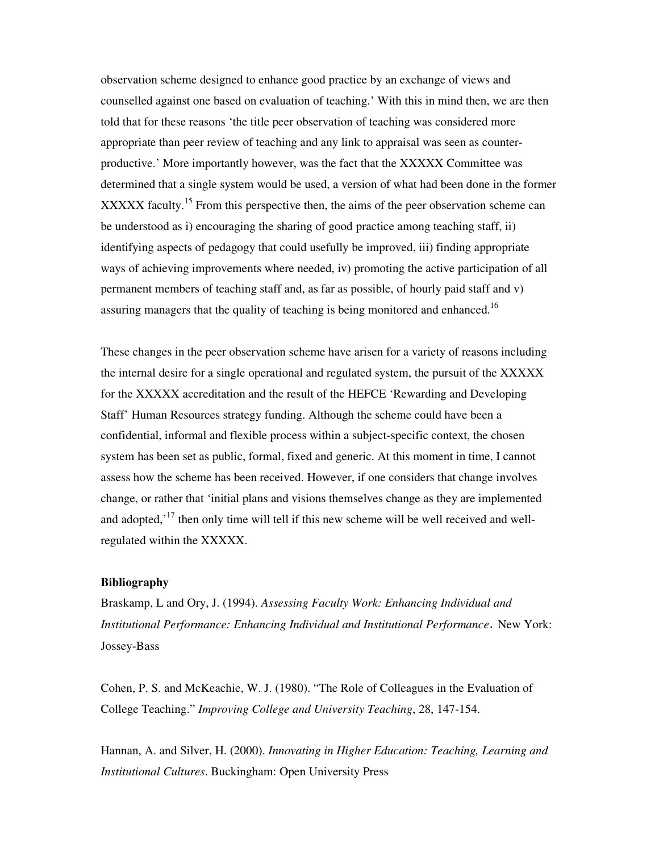observation scheme designed to enhance good practice by an exchange of views and counselled against one based on evaluation of teaching.' With this in mind then, we are then told that for these reasons 'the title peer observation of teaching was considered more appropriate than peer review of teaching and any link to appraisal was seen as counterproductive.' More importantly however, was the fact that the XXXXX Committee was determined that a single system would be used, a version of what had been done in the former XXXXX faculty.<sup>15</sup> From this perspective then, the aims of the peer observation scheme can be understood as i) encouraging the sharing of good practice among teaching staff, ii) identifying aspects of pedagogy that could usefully be improved, iii) finding appropriate ways of achieving improvements where needed, iv) promoting the active participation of all permanent members of teaching staff and, as far as possible, of hourly paid staff and v) assuring managers that the quality of teaching is being monitored and enhanced.<sup>16</sup>

These changes in the peer observation scheme have arisen for a variety of reasons including the internal desire for a single operational and regulated system, the pursuit of the XXXXX for the XXXXX accreditation and the result of the HEFCE 'Rewarding and Developing Staff' Human Resources strategy funding. Although the scheme could have been a confidential, informal and flexible process within a subject-specific context, the chosen system has been set as public, formal, fixed and generic. At this moment in time, I cannot assess how the scheme has been received. However, if one considers that change involves change, or rather that 'initial plans and visions themselves change as they are implemented and adopted,<sup> $17$ </sup> then only time will tell if this new scheme will be well received and wellregulated within the XXXXX.

## **Bibliography**

Braskamp, L and Ory, J. (1994). *Assessing Faculty Work: Enhancing Individual and Institutional Performance: Enhancing Individual and Institutional Performance* New York: Jossey-Bass

Cohen, P. S. and McKeachie, W. J. (1980). "The Role of Colleagues in the Evaluation of College Teaching." *Improving College and University Teaching*, 28, 147-154.

Hannan, A. and Silver, H. (2000). *Innovating in Higher Education: Teaching, Learning and Institutional Cultures*. Buckingham: Open University Press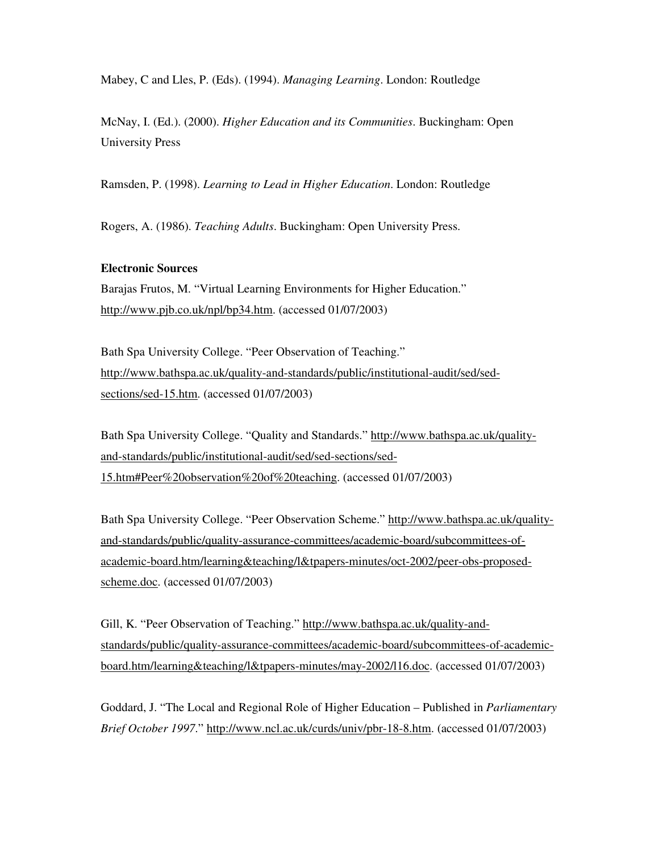Mabey, C and Lles, P. (Eds). (1994). *Managing Learning*. London: Routledge

McNay, I. (Ed.). (2000). *Higher Education and its Communities*. Buckingham: Open University Press

Ramsden, P. (1998). *Learning to Lead in Higher Education*. London: Routledge

Rogers, A. (1986). *Teaching Adults*. Buckingham: Open University Press.

#### **Electronic Sources**

Barajas Frutos, M. "Virtual Learning Environments for Higher Education." http://www.pjb.co.uk/npl/bp34.htm. (accessed 01/07/2003)

Bath Spa University College. "Peer Observation of Teaching." http://www.bathspa.ac.uk/quality-and-standards/public/institutional-audit/sed/sedsections/sed-15.htm. (accessed 01/07/2003)

Bath Spa University College. "Quality and Standards." http://www.bathspa.ac.uk/qualityand-standards/public/institutional-audit/sed/sed-sections/sed-15.htm#Peer%20observation%20of%20teaching. (accessed 01/07/2003)

Bath Spa University College. "Peer Observation Scheme." http://www.bathspa.ac.uk/qualityand-standards/public/quality-assurance-committees/academic-board/subcommittees-ofacademic-board.htm/learning&teaching/l&tpapers-minutes/oct-2002/peer-obs-proposedscheme.doc. (accessed 01/07/2003)

Gill, K. "Peer Observation of Teaching." http://www.bathspa.ac.uk/quality-andstandards/public/quality-assurance-committees/academic-board/subcommittees-of-academicboard.htm/learning&teaching/l&tpapers-minutes/may-2002/l16.doc. (accessed 01/07/2003)

Goddard, J. "The Local and Regional Role of Higher Education – Published in *Parliamentary Brief October 1997*." http://www.ncl.ac.uk/curds/univ/pbr-18-8.htm. (accessed 01/07/2003)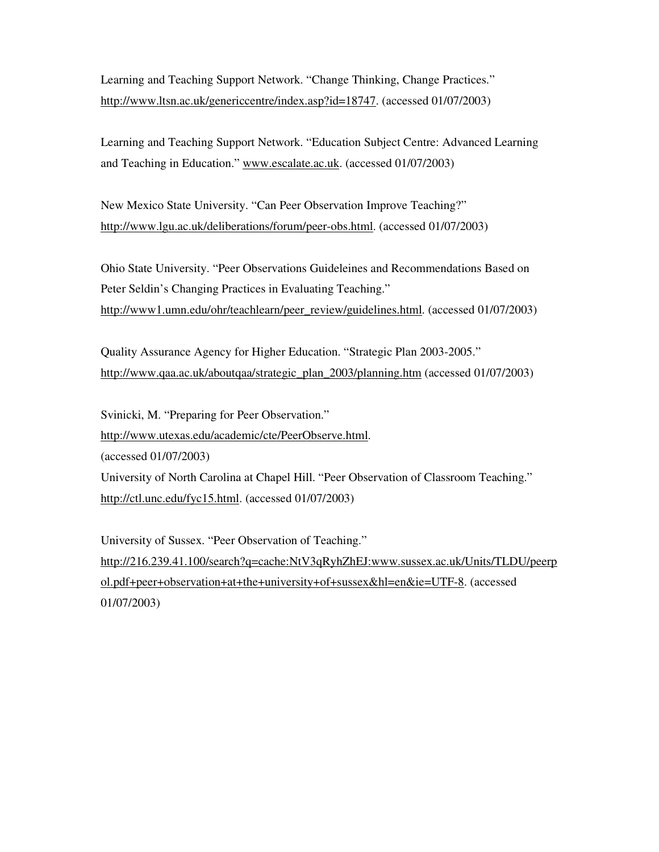Learning and Teaching Support Network. "Change Thinking, Change Practices." http://www.ltsn.ac.uk/genericcentre/index.asp?id=18747. (accessed 01/07/2003)

Learning and Teaching Support Network. "Education Subject Centre: Advanced Learning and Teaching in Education." www.escalate.ac.uk. (accessed 01/07/2003)

New Mexico State University. "Can Peer Observation Improve Teaching?" http://www.lgu.ac.uk/deliberations/forum/peer-obs.html. (accessed 01/07/2003)

Ohio State University. "Peer Observations Guideleines and Recommendations Based on Peter Seldin's Changing Practices in Evaluating Teaching." http://www1.umn.edu/ohr/teachlearn/peer\_review/guidelines.html. (accessed 01/07/2003)

Quality Assurance Agency for Higher Education. "Strategic Plan 2003-2005." http://www.qaa.ac.uk/aboutqaa/strategic\_plan\_2003/planning.htm (accessed 01/07/2003)

Svinicki, M. "Preparing for Peer Observation." http://www.utexas.edu/academic/cte/PeerObserve.html. (accessed 01/07/2003) University of North Carolina at Chapel Hill. "Peer Observation of Classroom Teaching." http://ctl.unc.edu/fyc15.html. (accessed 01/07/2003)

University of Sussex. "Peer Observation of Teaching." http://216.239.41.100/search?q=cache:NtV3qRyhZhEJ:www.sussex.ac.uk/Units/TLDU/peerp ol.pdf+peer+observation+at+the+university+of+sussex&hl=en&ie=UTF-8. (accessed 01/07/2003)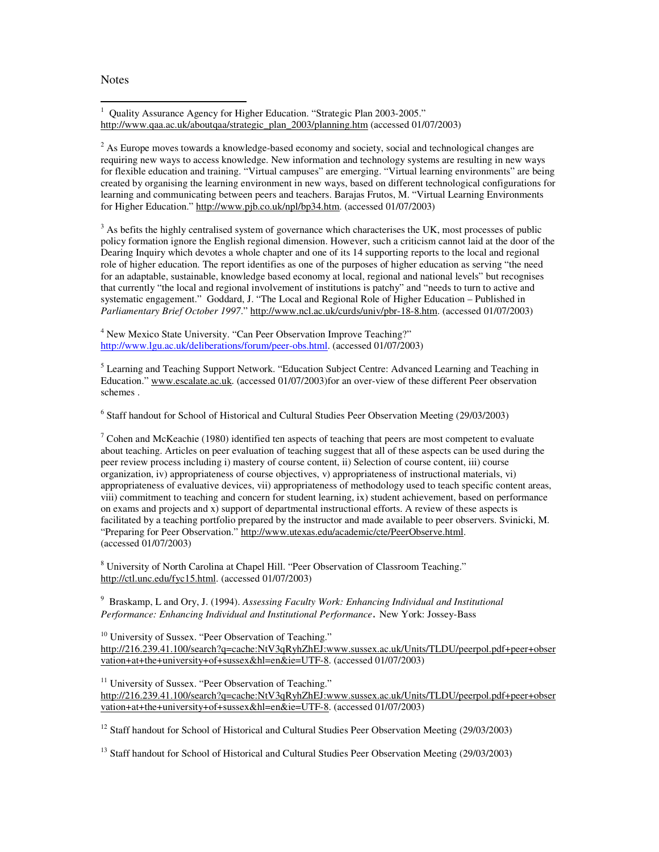**Notes** 

<sup>1</sup> Quality Assurance Agency for Higher Education. "Strategic Plan 2003-2005." http://www.qaa.ac.uk/aboutqaa/strategic\_plan\_2003/planning.htm (accessed 01/07/2003)

 $2$  As Europe moves towards a knowledge-based economy and society, social and technological changes are requiring new ways to access knowledge. New information and technology systems are resulting in new ways for flexible education and training. "Virtual campuses" are emerging. "Virtual learning environments" are being created by organising the learning environment in new ways, based on different technological configurations for learning and communicating between peers and teachers. Barajas Frutos, M. "Virtual Learning Environments for Higher Education." http://www.pjb.co.uk/npl/bp34.htm. (accessed 01/07/2003)

 $3$  As befits the highly centralised system of governance which characterises the UK, most processes of public policy formation ignore the English regional dimension. However, such a criticism cannot laid at the door of the Dearing Inquiry which devotes a whole chapter and one of its 14 supporting reports to the local and regional role of higher education. The report identifies as one of the purposes of higher education as serving "the need for an adaptable, sustainable, knowledge based economy at local, regional and national levels" but recognises that currently "the local and regional involvement of institutions is patchy" and "needs to turn to active and systematic engagement." Goddard, J. "The Local and Regional Role of Higher Education – Published in *Parliamentary Brief October 1997*." http://www.ncl.ac.uk/curds/univ/pbr-18-8.htm. (accessed 01/07/2003)

<sup>4</sup> New Mexico State University. "Can Peer Observation Improve Teaching?" http://www.lgu.ac.uk/deliberations/forum/peer-obs.html. (accessed 01/07/2003)

<sup>5</sup> Learning and Teaching Support Network. "Education Subject Centre: Advanced Learning and Teaching in Education." www.escalate.ac.uk. (accessed 01/07/2003)for an over-view of these different Peer observation schemes .

<sup>6</sup> Staff handout for School of Historical and Cultural Studies Peer Observation Meeting (29/03/2003)

 $7$  Cohen and McKeachie (1980) identified ten aspects of teaching that peers are most competent to evaluate about teaching. Articles on peer evaluation of teaching suggest that all of these aspects can be used during the peer review process including i) mastery of course content, ii) Selection of course content, iii) course organization, iv) appropriateness of course objectives, v) appropriateness of instructional materials, vi) appropriateness of evaluative devices, vii) appropriateness of methodology used to teach specific content areas, viii) commitment to teaching and concern for student learning, ix) student achievement, based on performance on exams and projects and x) support of departmental instructional efforts. A review of these aspects is facilitated by a teaching portfolio prepared by the instructor and made available to peer observers. Svinicki, M. "Preparing for Peer Observation." http://www.utexas.edu/academic/cte/PeerObserve.html. (accessed 01/07/2003)

<sup>8</sup> University of North Carolina at Chapel Hill. "Peer Observation of Classroom Teaching." http://ctl.unc.edu/fyc15.html. (accessed 01/07/2003)

<sup>9</sup> Braskamp, L and Ory, J. (1994). *Assessing Faculty Work: Enhancing Individual and Institutional Performance: Enhancing Individual and Institutional Performance, New York: Jossey-Bass* 

<sup>10</sup> University of Sussex. "Peer Observation of Teaching." http://216.239.41.100/search?q=cache:NtV3qRyhZhEJ:www.sussex.ac.uk/Units/TLDU/peerpol.pdf+peer+obser vation+at+the+university+of+sussex&hl=en&ie=UTF-8. (accessed 01/07/2003)

<sup>11</sup> University of Sussex. "Peer Observation of Teaching." http://216.239.41.100/search?q=cache:NtV3qRyhZhEJ:www.sussex.ac.uk/Units/TLDU/peerpol.pdf+peer+obser vation+at+the+university+of+sussex&hl=en&ie=UTF-8. (accessed 01/07/2003)

<sup>12</sup> Staff handout for School of Historical and Cultural Studies Peer Observation Meeting (29/03/2003)

<sup>13</sup> Staff handout for School of Historical and Cultural Studies Peer Observation Meeting (29/03/2003)